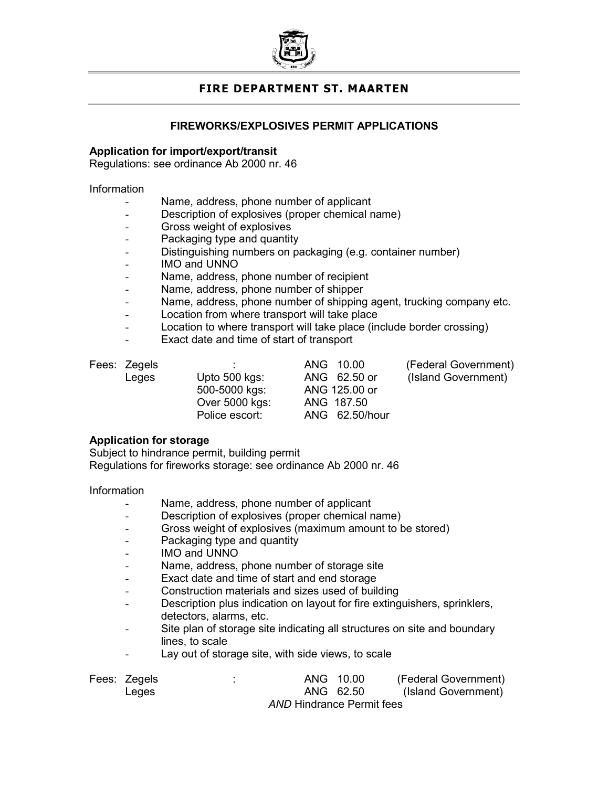

# FIRE DEPARTMENT ST. MAARTEN

## FIREWORKS/EXPLOSIVES PERMIT APPLICATIONS

## Application for import/export/transit

Regulations: see ordinance Ab 2000 nr. 46

#### Information

- Name, address, phone number of applicant
- Description of explosives (proper chemical name)
- Gross weight of explosives
- Packaging type and quantity
- Distinguishing numbers on packaging (e.g. container number)
- IMO and UNNO
- Name, address, phone number of recipient
- Name, address, phone number of shipper
- Name, address, phone number of shipping agent, trucking company etc.
- Location from where transport will take place
- Location to where transport will take place (include border crossing)
- Exact date and time of start of transport

- 
- Over 5000 kgs: ANG 187.50

Leges Upto 500 kgs: ANG 62.50 or (Island Government) 500-5000 kgs: ANG 125.00 or Police escort: ANG 62.50/hour

Fees: Zegels :  $\overline{A}$  . ANG 10.00 (Federal Government)<br>Leges Upto 500 kgs: ANG 62.50 or (Island Government)

## Application for storage

Subject to hindrance permit, building permit

Regulations for fireworks storage: see ordinance Ab 2000 nr. 46

## Information

- Name, address, phone number of applicant
- Description of explosives (proper chemical name)
- Gross weight of explosives (maximum amount to be stored)
- Packaging type and quantity
- IMO and UNNO
- Name, address, phone number of storage site
- Exact date and time of start and end storage
- Construction materials and sizes used of building
- Description plus indication on layout for fire extinguishers, sprinklers, detectors, alarms, etc.
- Site plan of storage site indicating all structures on site and boundary lines, to scale
- Lay out of storage site, with side views, to scale

| Fees: Zegels |                                  | ANG 10.00 | (Federal Government) |  |  |  |  |
|--------------|----------------------------------|-----------|----------------------|--|--|--|--|
| Leges        |                                  | ANG 62.50 | (Island Government)  |  |  |  |  |
|              | <b>AND Hindrance Permit fees</b> |           |                      |  |  |  |  |